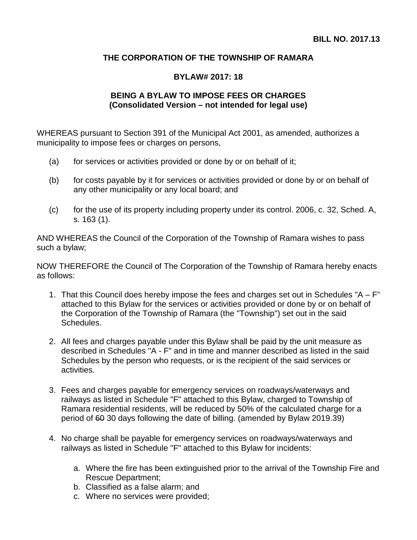## **THE CORPORATION OF THE TOWNSHIP OF RAMARA**

## **BYLAW# 2017: 18**

## **BEING A BYLAW TO IMPOSE FEES OR CHARGES (Consolidated Version – not intended for legal use)**

WHEREAS pursuant to Section 391 of the Municipal Act 2001, as amended, authorizes a municipality to impose fees or charges on persons,

- (a) for services or activities provided or done by or on behalf of it;
- (b) for costs payable by it for services or activities provided or done by or on behalf of any other municipality or any local board; and
- (c) for the use of its property including property under its control. 2006, c. 32, Sched. A, s. 163 (1).

AND WHEREAS the Council of the Corporation of the Township of Ramara wishes to pass such a bylaw;

NOW THEREFORE the Council of The Corporation of the Township of Ramara hereby enacts as follows:

- 1. That this Council does hereby impose the fees and charges set out in Schedules "A  $F$ " attached to this Bylaw for the services or activities provided or done by or on behalf of the Corporation of the Township of Ramara (the "Township") set out in the said Schedules.
- 2. All fees and charges payable under this Bylaw shall be paid by the unit measure as described in Schedules "A - F" and in time and manner described as listed in the said Schedules by the person who requests, or is the recipient of the said services or activities.
- 3. Fees and charges payable for emergency services on roadways/waterways and railways as listed in Schedule "F" attached to this Bylaw, charged to Township of Ramara residential residents, will be reduced by 50% of the calculated charge for a period of 60 30 days following the date of billing. (amended by Bylaw 2019.39)
- 4. No charge shall be payable for emergency services on roadways/waterways and railways as listed in Schedule "F" attached to this Bylaw for incidents:
	- a. Where the fire has been extinguished prior to the arrival of the Township Fire and Rescue Department;
	- b. Classified as a false alarm; and
	- c. Where no services were provided;